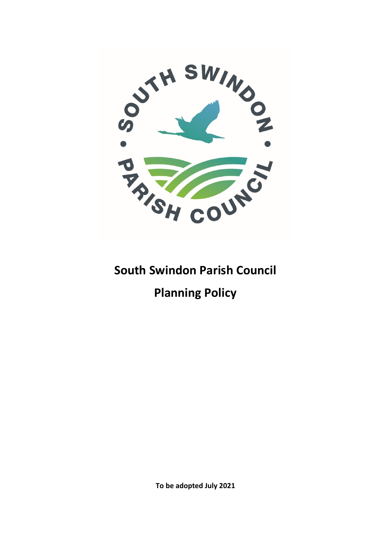

## **South Swindon Parish Council**

# **Planning Policy**

**To be adopted July 2021**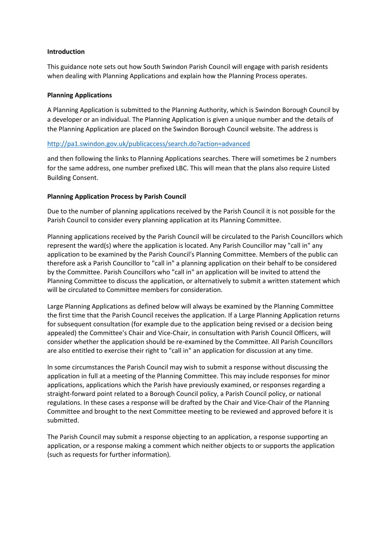## **Introduction**

This guidance note sets out how South Swindon Parish Council will engage with parish residents when dealing with Planning Applications and explain how the Planning Process operates.

### **Planning Applications**

A Planning Application is submitted to the Planning Authority, which is Swindon Borough Council by a developer or an individual. The Planning Application is given a unique number and the details of the Planning Application are placed on the Swindon Borough Council website. The address is

## <http://pa1.swindon.gov.uk/publicaccess/search.do?action=advanced>

and then following the links to Planning Applications searches. There will sometimes be 2 numbers for the same address, one number prefixed LBC. This will mean that the plans also require Listed Building Consent.

#### **Planning Application Process by Parish Council**

Due to the number of planning applications received by the Parish Council it is not possible for the Parish Council to consider every planning application at its Planning Committee.

Planning applications received by the Parish Council will be circulated to the Parish Councillors which represent the ward(s) where the application is located. Any Parish Councillor may "call in" any application to be examined by the Parish Council's Planning Committee. Members of the public can therefore ask a Parish Councillor to "call in" a planning application on their behalf to be considered by the Committee. Parish Councillors who "call in" an application will be invited to attend the Planning Committee to discuss the application, or alternatively to submit a written statement which will be circulated to Committee members for consideration.

Large Planning Applications as defined below will always be examined by the Planning Committee the first time that the Parish Council receives the application. If a Large Planning Application returns for subsequent consultation (for example due to the application being revised or a decision being appealed) the Committee's Chair and Vice-Chair, in consultation with Parish Council Officers, will consider whether the application should be re-examined by the Committee. All Parish Councillors are also entitled to exercise their right to "call in" an application for discussion at any time.

In some circumstances the Parish Council may wish to submit a response without discussing the application in full at a meeting of the Planning Committee. This may include responses for minor applications, applications which the Parish have previously examined, or responses regarding a straight-forward point related to a Borough Council policy, a Parish Council policy, or national regulations. In these cases a response will be drafted by the Chair and Vice-Chair of the Planning Committee and brought to the next Committee meeting to be reviewed and approved before it is submitted.

The Parish Council may submit a response objecting to an application, a response supporting an application, or a response making a comment which neither objects to or supports the application (such as requests for further information).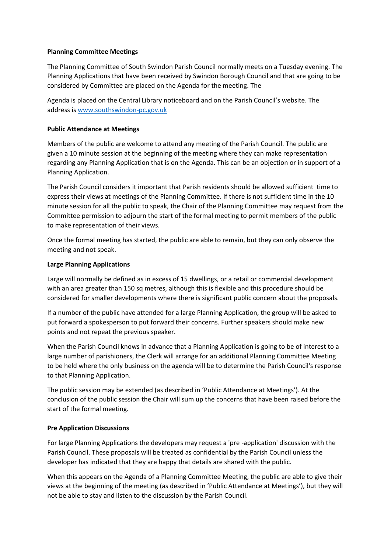## **Planning Committee Meetings**

The Planning Committee of South Swindon Parish Council normally meets on a Tuesday evening. The Planning Applications that have been received by Swindon Borough Council and that are going to be considered by Committee are placed on the Agenda for the meeting. The

Agenda is placed on the Central Library noticeboard and on the Parish Council's website. The address is [www.southswindon-pc.gov.uk](http://www.southswindon-pc.gov.uk/)

## **Public Attendance at Meetings**

Members of the public are welcome to attend any meeting of the Parish Council. The public are given a 10 minute session at the beginning of the meeting where they can make representation regarding any Planning Application that is on the Agenda. This can be an objection or in support of a Planning Application.

The Parish Council considers it important that Parish residents should be allowed sufficient time to express their views at meetings of the Planning Committee. If there is not sufficient time in the 10 minute session for all the public to speak, the Chair of the Planning Committee may request from the Committee permission to adjourn the start of the formal meeting to permit members of the public to make representation of their views.

Once the formal meeting has started, the public are able to remain, but they can only observe the meeting and not speak.

## **Large Planning Applications**

Large will normally be defined as in excess of 15 dwellings, or a retail or commercial development with an area greater than 150 sq metres, although this is flexible and this procedure should be considered for smaller developments where there is significant public concern about the proposals.

If a number of the public have attended for a large Planning Application, the group will be asked to put forward a spokesperson to put forward their concerns. Further speakers should make new points and not repeat the previous speaker.

When the Parish Council knows in advance that a Planning Application is going to be of interest to a large number of parishioners, the Clerk will arrange for an additional Planning Committee Meeting to be held where the only business on the agenda will be to determine the Parish Council's response to that Planning Application.

The public session may be extended (as described in 'Public Attendance at Meetings'). At the conclusion of the public session the Chair will sum up the concerns that have been raised before the start of the formal meeting.

## **Pre Application Discussions**

For large Planning Applications the developers may request a 'pre -application' discussion with the Parish Council. These proposals will be treated as confidential by the Parish Council unless the developer has indicated that they are happy that details are shared with the public.

When this appears on the Agenda of a Planning Committee Meeting, the public are able to give their views at the beginning of the meeting (as described in 'Public Attendance at Meetings'), but they will not be able to stay and listen to the discussion by the Parish Council.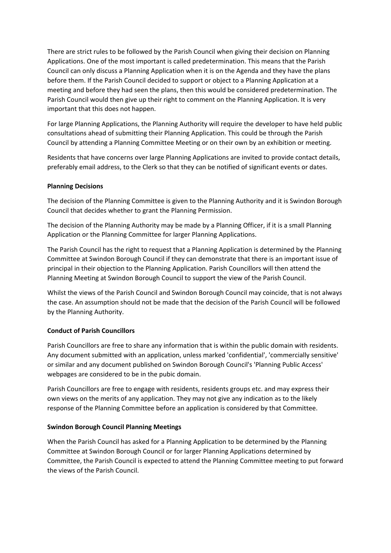There are strict rules to be followed by the Parish Council when giving their decision on Planning Applications. One of the most important is called predetermination. This means that the Parish Council can only discuss a Planning Application when it is on the Agenda and they have the plans before them. If the Parish Council decided to support or object to a Planning Application at a meeting and before they had seen the plans, then this would be considered predetermination. The Parish Council would then give up their right to comment on the Planning Application. It is very important that this does not happen.

For large Planning Applications, the Planning Authority will require the developer to have held public consultations ahead of submitting their Planning Application. This could be through the Parish Council by attending a Planning Committee Meeting or on their own by an exhibition or meeting.

Residents that have concerns over large Planning Applications are invited to provide contact details, preferably email address, to the Clerk so that they can be notified of significant events or dates.

## **Planning Decisions**

The decision of the Planning Committee is given to the Planning Authority and it is Swindon Borough Council that decides whether to grant the Planning Permission.

The decision of the Planning Authority may be made by a Planning Officer, if it is a small Planning Application or the Planning Committee for larger Planning Applications.

The Parish Council has the right to request that a Planning Application is determined by the Planning Committee at Swindon Borough Council if they can demonstrate that there is an important issue of principal in their objection to the Planning Application. Parish Councillors will then attend the Planning Meeting at Swindon Borough Council to support the view of the Parish Council.

Whilst the views of the Parish Council and Swindon Borough Council may coincide, that is not always the case. An assumption should not be made that the decision of the Parish Council will be followed by the Planning Authority.

## **Conduct of Parish Councillors**

Parish Councillors are free to share any information that is within the public domain with residents. Any document submitted with an application, unless marked 'confidential', 'commercially sensitive' or similar and any document published on Swindon Borough Council's 'Planning Public Access' webpages are considered to be in the pubic domain.

Parish Councillors are free to engage with residents, residents groups etc. and may express their own views on the merits of any application. They may not give any indication as to the likely response of the Planning Committee before an application is considered by that Committee.

## **Swindon Borough Council Planning Meetings**

When the Parish Council has asked for a Planning Application to be determined by the Planning Committee at Swindon Borough Council or for larger Planning Applications determined by Committee, the Parish Council is expected to attend the Planning Committee meeting to put forward the views of the Parish Council.